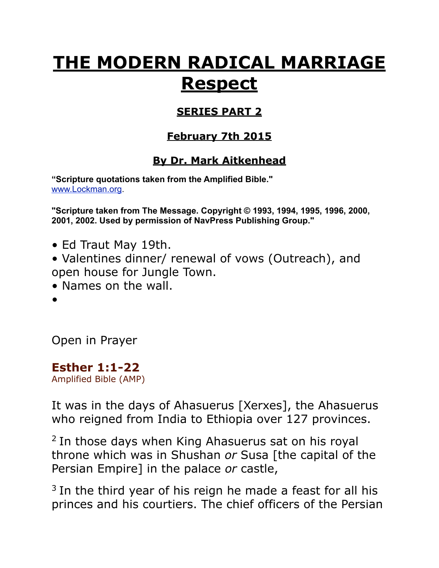# **THE MODERN RADICAL MARRIAGE Respect**

#### **SERIES PART 2**

### **February 7th 2015**

## **By Dr. Mark Aitkenhead**

**"Scripture quotations taken from the Amplified Bible."**  [www.Lockman.org](http://www.lockman.org/tlf/pqform.php).

**"Scripture taken from The Message. Copyright © 1993, 1994, 1995, 1996, 2000, 2001, 2002. Used by permission of NavPress Publishing Group."**

• Ed Traut May 19th.

• Valentines dinner/ renewal of vows (Outreach), and open house for Jungle Town.

- Names on the wall.
- •

Open in Prayer

**Esther 1:1-22** Amplified Bible (AMP)

It was in the days of Ahasuerus [Xerxes], the Ahasuerus who reigned from India to Ethiopia over 127 provinces.

2 In those days when King Ahasuerus sat on his royal throne which was in Shushan *or* Susa [the capital of the Persian Empire] in the palace *or* castle,

 $3$  In the third year of his reign he made a feast for all his princes and his courtiers. The chief officers of the Persian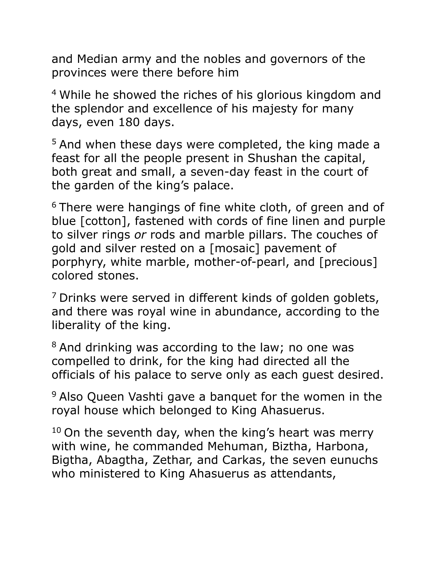and Median army and the nobles and governors of the provinces were there before him

4 While he showed the riches of his glorious kingdom and the splendor and excellence of his majesty for many days, even 180 days.

5 And when these days were completed, the king made a feast for all the people present in Shushan the capital, both great and small, a seven-day feast in the court of the garden of the king's palace.

<sup>6</sup> There were hangings of fine white cloth, of green and of blue [cotton], fastened with cords of fine linen and purple to silver rings *or* rods and marble pillars. The couches of gold and silver rested on a [mosaic] pavement of porphyry, white marble, mother-of-pearl, and [precious] colored stones.

<sup>7</sup> Drinks were served in different kinds of golden goblets, and there was royal wine in abundance, according to the liberality of the king.

<sup>8</sup> And drinking was according to the law; no one was compelled to drink, for the king had directed all the officials of his palace to serve only as each guest desired.

<sup>9</sup> Also Queen Vashti gave a banquet for the women in the royal house which belonged to King Ahasuerus.

 $10$  On the seventh day, when the king's heart was merry with wine, he commanded Mehuman, Biztha, Harbona, Bigtha, Abagtha, Zethar, and Carkas, the seven eunuchs who ministered to King Ahasuerus as attendants,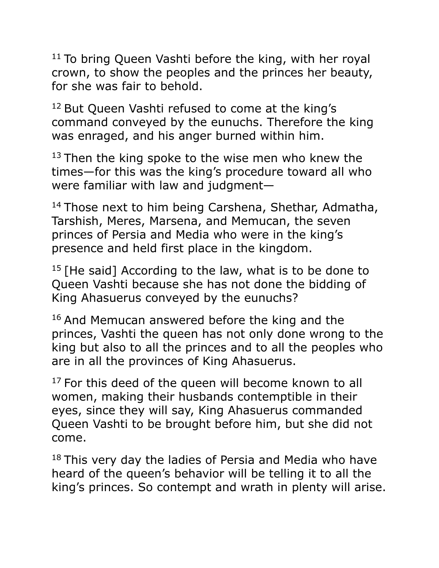$11$  To bring Queen Vashti before the king, with her royal crown, to show the peoples and the princes her beauty, for she was fair to behold.

<sup>12</sup> But Queen Vashti refused to come at the king's command conveyed by the eunuchs. Therefore the king was enraged, and his anger burned within him.

 $13$  Then the king spoke to the wise men who knew the times—for this was the king's procedure toward all who were familiar with law and judgment—

<sup>14</sup> Those next to him being Carshena, Shethar, Admatha, Tarshish, Meres, Marsena, and Memucan, the seven princes of Persia and Media who were in the king's presence and held first place in the kingdom.

 $15$  [He said] According to the law, what is to be done to Queen Vashti because she has not done the bidding of King Ahasuerus conveyed by the eunuchs?

<sup>16</sup> And Memucan answered before the king and the princes, Vashti the queen has not only done wrong to the king but also to all the princes and to all the peoples who are in all the provinces of King Ahasuerus.

 $17$  For this deed of the queen will become known to all women, making their husbands contemptible in their eyes, since they will say, King Ahasuerus commanded Queen Vashti to be brought before him, but she did not come.

 $18$  This very day the ladies of Persia and Media who have heard of the queen's behavior will be telling it to all the king's princes. So contempt and wrath in plenty will arise.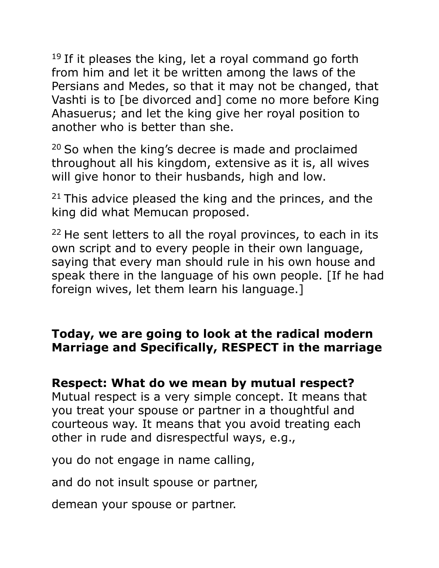$19$  If it pleases the king, let a royal command go forth from him and let it be written among the laws of the Persians and Medes, so that it may not be changed, that Vashti is to [be divorced and] come no more before King Ahasuerus; and let the king give her royal position to another who is better than she.

 $20$  So when the king's decree is made and proclaimed throughout all his kingdom, extensive as it is, all wives will give honor to their husbands, high and low.

 $21$  This advice pleased the king and the princes, and the king did what Memucan proposed.

 $22$  He sent letters to all the royal provinces, to each in its own script and to every people in their own language, saying that every man should rule in his own house and speak there in the language of his own people. [If he had foreign wives, let them learn his language.]

### **Today, we are going to look at the radical modern Marriage and Specifically, RESPECT in the marriage**

### **Respect: What do we mean by mutual respect?**

Mutual respect is a very simple concept. It means that you treat your spouse or partner in a thoughtful and courteous way. It means that you avoid treating each other in rude and disrespectful ways, e.g.,

you do not engage in name calling,

and do not insult spouse or partner,

demean your spouse or partner.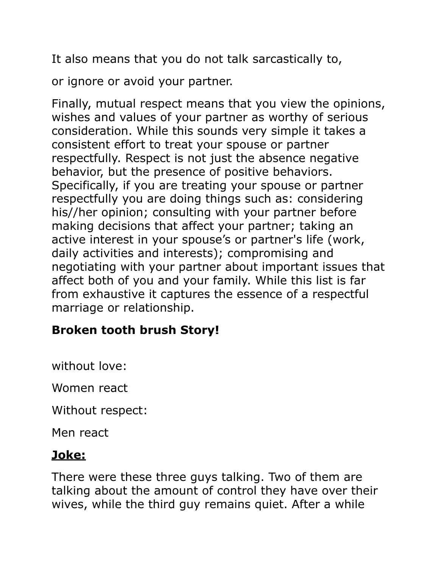It also means that you do not talk sarcastically to,

or ignore or avoid your partner.

Finally, mutual respect means that you view the opinions, wishes and values of your partner as worthy of serious consideration. While this sounds very simple it takes a consistent effort to treat your spouse or partner respectfully. Respect is not just the absence negative behavior, but the presence of positive behaviors. Specifically, if you are treating your spouse or partner respectfully you are doing things such as: considering his//her opinion; consulting with your partner before making decisions that affect your partner; taking an active interest in your spouse's or partner's life (work, daily activities and interests); compromising and negotiating with your partner about important issues that affect both of you and your family. While this list is far from exhaustive it captures the essence of a respectful marriage or relationship.

### **Broken tooth brush Story!**

without love:

Women react

Without respect:

Men react

#### **Joke:**

There were these three guys talking. Two of them are talking about the amount of control they have over their wives, while the third guy remains quiet. After a while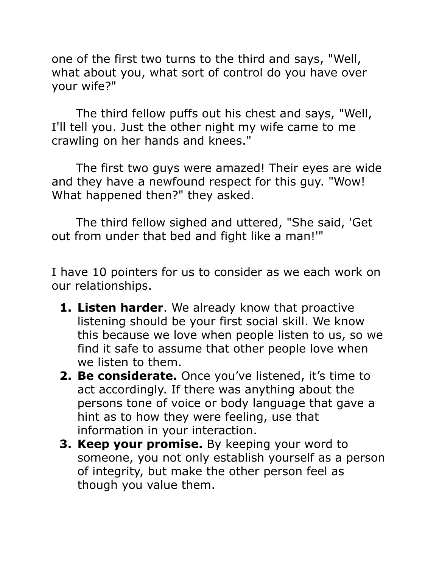one of the first two turns to the third and says, "Well, what about you, what sort of control do you have over your wife?"

 The third fellow puffs out his chest and says, "Well, I'll tell you. Just the other night my wife came to me crawling on her hands and knees."

 The first two guys were amazed! Their eyes are wide and they have a newfound respect for this guy. "Wow! What happened then?" they asked.

 The third fellow sighed and uttered, "She said, 'Get out from under that bed and fight like a man!'"

I have 10 pointers for us to consider as we each work on our relationships.

- **1. Listen harder**. We already know that [proactive](http://www.alexshalman.com/blog/2007/08/14/proactive-listening-should-be-your-first-social-skill/)  [listening should be your first social skill.](http://www.alexshalman.com/blog/2007/08/14/proactive-listening-should-be-your-first-social-skill/) We know this because we love when people listen to us, so we find it safe to assume that other people love when we listen to them.
- **2. Be considerate.** Once you've listened, it's time to act accordingly. If there was anything about the persons tone of voice or body language that gave a hint as to how they were feeling, use that information in your interaction.
- **3. Keep your promise.** By keeping your word to someone, you not only establish yourself as a person of integrity, but make the other person feel as though you value them.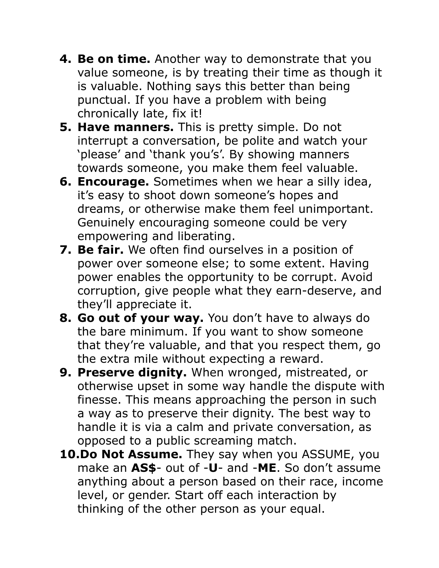- **4. Be on time.** Another way to demonstrate that you value someone, is by treating their time as though it is valuable. Nothing says this better than being punctual. If you have a problem with being chronically late, fix it!
- **5. Have manners.** This is pretty simple. Do not interrupt a conversation, be polite and watch your 'please' and 'thank you's'. By showing manners towards someone, you make them feel valuable.
- **6. Encourage.** Sometimes when we hear a silly idea, it's easy to shoot down someone's hopes and dreams, or otherwise make them feel unimportant. Genuinely encouraging someone could be very empowering and liberating.
- **7. Be fair.** We often find ourselves in a position of power over someone else; to some extent. Having power enables the opportunity to be corrupt. Avoid corruption, give people what they earn-deserve, and they'll appreciate it.
- **8. Go out of your way.** You don't have to always do the bare minimum. If you want to show someone that they're valuable, and that you respect them, go the extra mile without expecting a reward.
- **9. Preserve dignity.** When wronged, mistreated, or otherwise upset in some way handle the dispute with finesse. This means approaching the person in such a way as to preserve their dignity. The best way to handle it is via a calm and private conversation, as opposed to a public screaming match.
- **10.Do Not Assume.** They say when you ASSUME, you make an **AS\$**- out of -**U**- and -**ME**. So don't assume anything about a person based on their race, income level, or gender. Start off each interaction by thinking of the other person as your equal.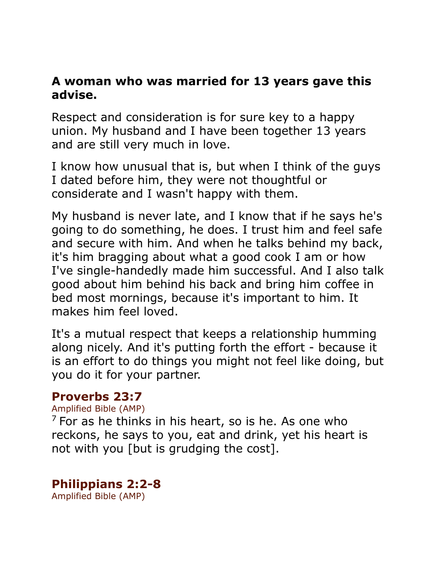#### **A woman who was married for 13 years gave this advise.**

Respect and consideration is for sure key to a happy union. My husband and I have been together 13 years and are still very much in love.

I know how unusual that is, but when I think of the guys I dated before him, they were not thoughtful or considerate and I wasn't happy with them.

My husband is never late, and I know that if he says he's going to do something, he does. I trust him and feel safe and secure with him. And when he talks behind my back, it's him bragging about what a good cook I am or how I've single-handedly made him successful. And I also talk good about him behind his back and bring him coffee in bed most mornings, because it's important to him. It makes him feel loved.

It's a mutual respect that keeps a relationship humming along nicely. And it's putting forth the effort - because it is an effort to do things you might not feel like doing, but you do it for your partner.

#### **Proverbs 23:7**

#### Amplified Bible (AMP)

 $<sup>7</sup>$  For as he thinks in his heart, so is he. As one who</sup> reckons, he says to you, eat and drink, yet his heart is not with you [but is grudging the cost].

#### **Philippians 2:2-8**

Amplified Bible (AMP)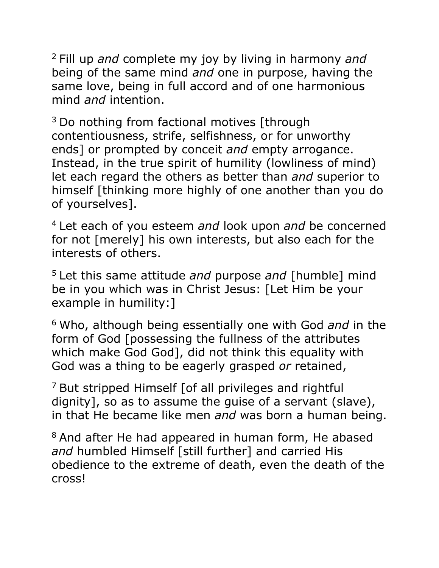2 Fill up *and* complete my joy by living in harmony *and* being of the same mind *and* one in purpose, having the same love, being in full accord and of one harmonious mind *and* intention.

 $3$  Do nothing from factional motives [through] contentiousness, strife, selfishness, or for unworthy ends] or prompted by conceit *and* empty arrogance. Instead, in the true spirit of humility (lowliness of mind) let each regard the others as better than *and* superior to himself [thinking more highly of one another than you do of yourselves].

4 Let each of you esteem *and* look upon *and* be concerned for not [merely] his own interests, but also each for the interests of others.

5 Let this same attitude *and* purpose *and* [humble] mind be in you which was in Christ Jesus: [Let Him be your example in humility:]

6 Who, although being essentially one with God *and* in the form of God [possessing the fullness of the attributes which make God God], did not think this equality with God was a thing to be eagerly grasped *or* retained,

 $<sup>7</sup>$  But stripped Himself [of all privileges and rightful</sup> dignity], so as to assume the guise of a servant (slave), in that He became like men *and* was born a human being.

<sup>8</sup> And after He had appeared in human form, He abased *and* humbled Himself [still further] and carried His obedience to the extreme of death, even the death of the cross!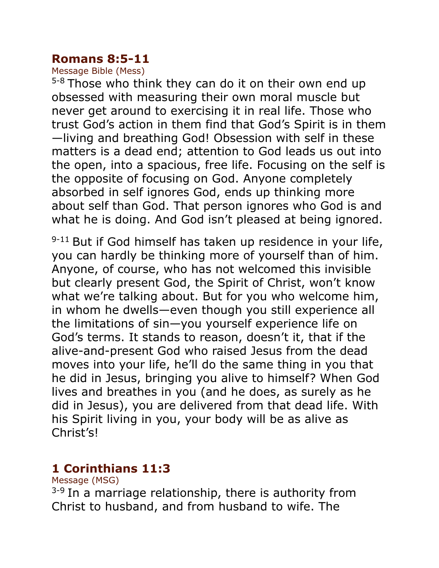#### **Romans 8:5-11**

Message Bible (Mess)

 $5-8$  Those who think they can do it on their own end up obsessed with measuring their own moral muscle but never get around to exercising it in real life. Those who trust God's action in them find that God's Spirit is in them —living and breathing God! Obsession with self in these matters is a dead end; attention to God leads us out into the open, into a spacious, free life. Focusing on the self is the opposite of focusing on God. Anyone completely absorbed in self ignores God, ends up thinking more about self than God. That person ignores who God is and what he is doing. And God isn't pleased at being ignored.

 $9-11$  But if God himself has taken up residence in your life, you can hardly be thinking more of yourself than of him. Anyone, of course, who has not welcomed this invisible but clearly present God, the Spirit of Christ, won't know what we're talking about. But for you who welcome him, in whom he dwells—even though you still experience all the limitations of sin—you yourself experience life on God's terms. It stands to reason, doesn't it, that if the alive-and-present God who raised Jesus from the dead moves into your life, he'll do the same thing in you that he did in Jesus, bringing you alive to himself? When God lives and breathes in you (and he does, as surely as he did in Jesus), you are delivered from that dead life. With his Spirit living in you, your body will be as alive as Christ's!

### **1 Corinthians 11:3**

Message (MSG)

 $3-9$  In a marriage relationship, there is authority from Christ to husband, and from husband to wife. The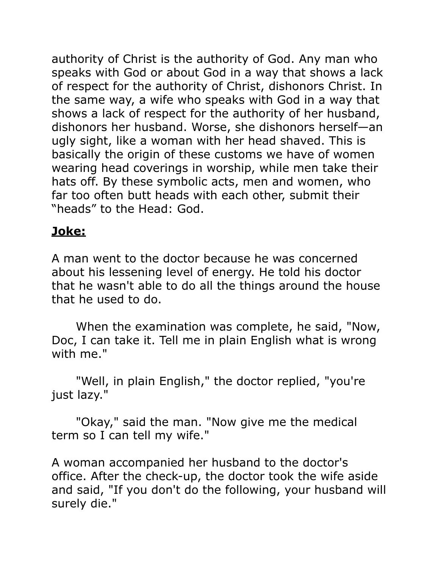authority of Christ is the authority of God. Any man who speaks with God or about God in a way that shows a lack of respect for the authority of Christ, dishonors Christ. In the same way, a wife who speaks with God in a way that shows a lack of respect for the authority of her husband, dishonors her husband. Worse, she dishonors herself—an ugly sight, like a woman with her head shaved. This is basically the origin of these customs we have of women wearing head coverings in worship, while men take their hats off. By these symbolic acts, men and women, who far too often butt heads with each other, submit their "heads" to the Head: God.

# **Joke:**

A man went to the doctor because he was concerned about his lessening level of energy. He told his doctor that he wasn't able to do all the things around the house that he used to do.

 When the examination was complete, he said, "Now, Doc, I can take it. Tell me in plain English what is wrong with me."

 "Well, in plain English," the doctor replied, "you're just lazy."

 "Okay," said the man. "Now give me the medical term so I can tell my wife."

A woman accompanied her husband to the doctor's office. After the check-up, the doctor took the wife aside and said, "If you don't do the following, your husband will surely die."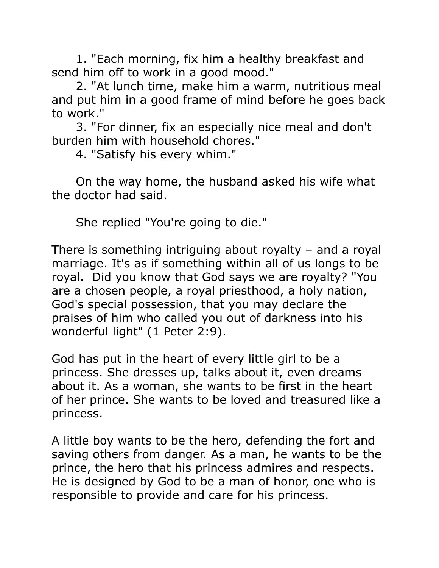1. "Each morning, fix him a healthy breakfast and send him off to work in a good mood."

 2. "At lunch time, make him a warm, nutritious meal and put him in a good frame of mind before he goes back to work."

 3. "For dinner, fix an especially nice meal and don't burden him with household chores."

4. "Satisfy his every whim."

 On the way home, the husband asked his wife what the doctor had said.

She replied "You're going to die."

There is something intriguing about royalty – and a royal marriage. It's as if something within all of us longs to be royal. Did you know that God says we are royalty? "You are a chosen people, a royal priesthood, a holy nation, God's special possession, that you may declare the praises of him who called you out of darkness into his wonderful light" (1 Peter 2:9).

God has put in the heart of every little girl to be a princess. She dresses up, talks about it, even dreams about it. As a woman, she wants to be first in the heart of her prince. She wants to be loved and treasured like a princess.

A little boy wants to be the hero, defending the fort and saving others from danger. As a man, he wants to be the prince, the hero that his princess admires and respects. He is designed by God to be a man of honor, one who is responsible to provide and care for his princess.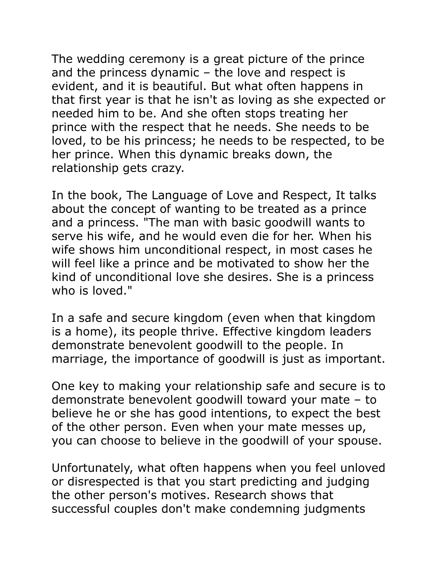The wedding ceremony is a great picture of the prince and the princess dynamic – the love and respect is evident, and it is beautiful. But what often happens in that first year is that he isn't as loving as she expected or needed him to be. And she often stops treating her prince with the respect that he needs. She needs to be loved, to be his princess; he needs to be respected, to be her prince. When this dynamic breaks down, the relationship gets crazy.

In the book, The Language of Love and Respect, It talks about the concept of wanting to be treated as a prince and a princess. "The man with basic goodwill wants to serve his wife, and he would even die for her. When his wife shows him unconditional respect, in most cases he will feel like a prince and be motivated to show her the kind of unconditional love she desires. She is a princess who is loved."

In a safe and secure kingdom (even when that kingdom is a home), its people thrive. Effective kingdom leaders demonstrate benevolent goodwill to the people. In marriage, the importance of goodwill is just as important.

One key to making your relationship safe and secure is to demonstrate benevolent goodwill toward your mate – to believe he or she has good intentions, to expect the best of the other person. Even when your mate messes up, you can choose to believe in the goodwill of your spouse.

Unfortunately, what often happens when you feel unloved or disrespected is that you start predicting and judging the other person's motives. Research shows that successful couples don't make condemning judgments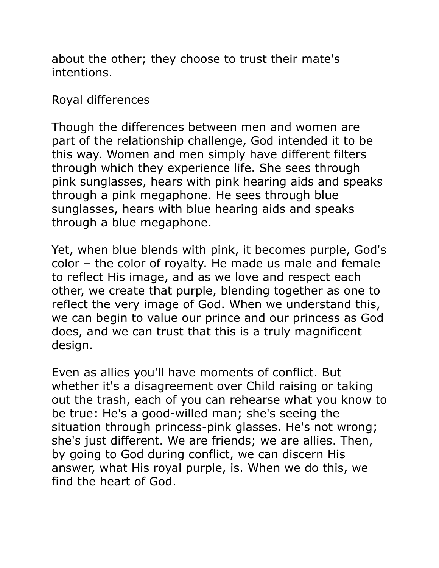about the other; they choose to trust their mate's intentions.

Royal differences

Though the differences between men and women are part of the relationship challenge, God intended it to be this way. Women and men simply have different filters through which they experience life. She sees through pink sunglasses, hears with pink hearing aids and speaks through a pink megaphone. He sees through blue sunglasses, hears with blue hearing aids and speaks through a blue megaphone.

Yet, when blue blends with pink, it becomes purple, God's color – the color of royalty. He made us male and female to reflect His image, and as we love and respect each other, we create that purple, blending together as one to reflect the very image of God. When we understand this, we can begin to value our prince and our princess as God does, and we can trust that this is a truly magnificent design.

Even as allies you'll have moments of conflict. But whether it's a disagreement over Child raising or taking out the trash, each of you can rehearse what you know to be true: He's a good-willed man; she's seeing the situation through princess-pink glasses. He's not wrong; she's just different. We are friends; we are allies. Then, by going to God during conflict, we can discern His answer, what His royal purple, is. When we do this, we find the heart of God.